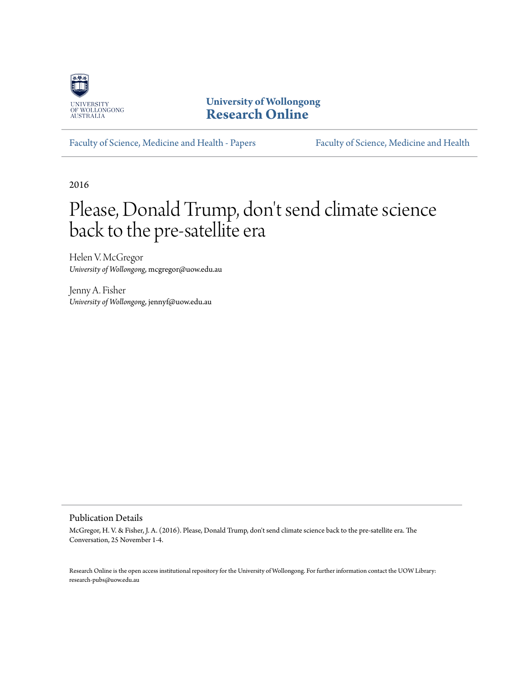

**University of Wollongong [Research Online](http://ro.uow.edu.au)**

[Faculty of Science, Medicine and Health - Papers](http://ro.uow.edu.au/smhpapers) [Faculty of Science, Medicine and Health](http://ro.uow.edu.au/smh)

2016

# Please, Donald Trump, don't send climate science back to the pre-satellite era

Helen V. McGregor *University of Wollongong*, mcgregor@uow.edu.au

Jenny A. Fisher *University of Wollongong*, jennyf@uow.edu.au

#### Publication Details

McGregor, H. V. & Fisher, J. A. (2016). Please, Donald Trump, don't send climate science back to the pre-satellite era. The Conversation, 25 November 1-4.

Research Online is the open access institutional repository for the University of Wollongong. For further information contact the UOW Library: research-pubs@uow.edu.au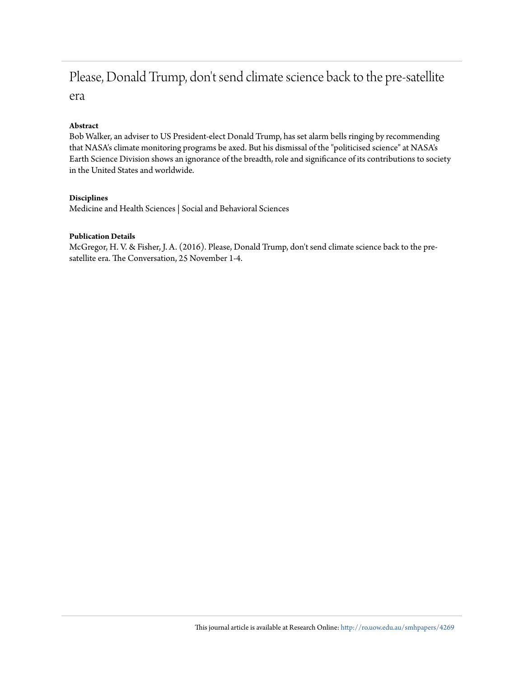# Please, Donald Trump, don't send climate science back to the pre-satellite era

### **Abstract**

Bob Walker, an adviser to US President-elect Donald Trump, has set alarm bells ringing by recommending that NASA's climate monitoring programs be axed. But his dismissal of the "politicised science" at NASA's Earth Science Division shows an ignorance of the breadth, role and significance of its contributions to society in the United States and worldwide.

### **Disciplines**

Medicine and Health Sciences | Social and Behavioral Sciences

### **Publication Details**

McGregor, H. V. & Fisher, J. A. (2016). Please, Donald Trump, don't send climate science back to the presatellite era. The Conversation, 25 November 1-4.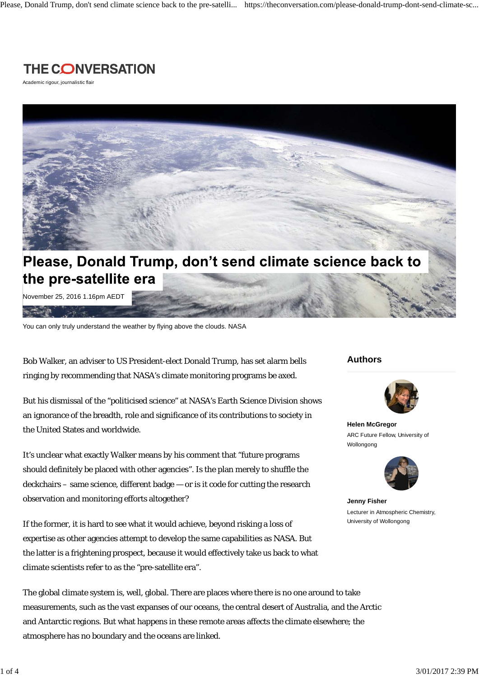

Academic rigour, journalistic flair



# Please, Donald Trump, don't send climate science back to the pre-satellite era

November 25, 2016 1.16pm AEDT

You can only truly understand the weather by flying above the clouds. NASA

Bob Walker, an adviser to US President-elect Donald Trump, has set alarm bells ringing by recommending that NASA's climate monitoring programs be axed.

But his dismissal of the "politicised science" at NASA's Earth Science Division shows an ignorance of the breadth, role and significance of its contributions to society in the United States and worldwide.

It's unclear what exactly Walker means by his comment that "future programs should definitely be placed with other agencies". Is the plan merely to shuffle the deckchairs – same science, different badge — or is it code for cutting the research observation and monitoring efforts altogether?

If the former, it is hard to see what it would achieve, beyond risking a loss of expertise as other agencies attempt to develop the same capabilities as NASA. But the latter is a frightening prospect, because it would effectively take us back to what climate scientists refer to as the "pre-satellite era".

The global climate system is, well, global. There are places where there is no one around to take measurements, such as the vast expanses of our oceans, the central desert of Australia, and the Arctic and Antarctic regions. But what happens in these remote areas affects the climate elsewhere; the atmosphere has no boundary and the oceans are linked.

### **Authors**



**Helen McGregor** ARC Future Fellow, University of Wollongong



**Jenny Fisher** Lecturer in Atmospheric Chemistry, University of Wollongong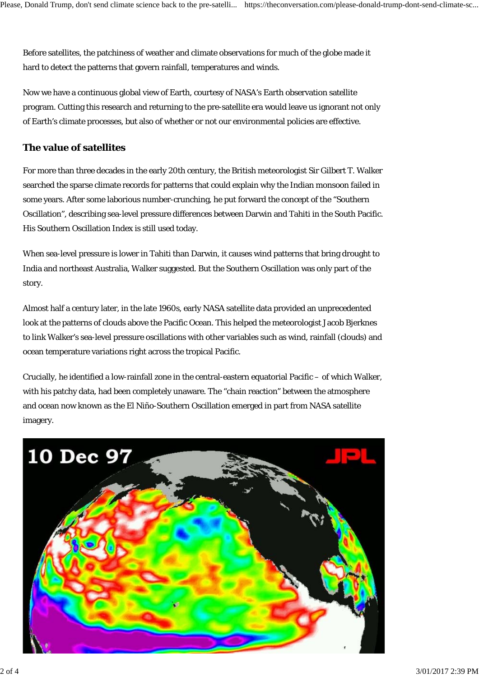Before satellites, the patchiness of weather and climate observations for much of the globe made it hard to detect the patterns that govern rainfall, temperatures and winds.

Now we have a continuous global view of Earth, courtesy of NASA's Earth observation satellite program. Cutting this research and returning to the pre-satellite era would leave us ignorant not only of Earth's climate processes, but also of whether or not our environmental policies are effective.

### **The value of satellites**

For more than three decades in the early 20th century, the British meteorologist Sir Gilbert T. Walker searched the sparse climate records for patterns that could explain why the Indian monsoon failed in some years. After some laborious number-crunching, he put forward the concept of the "Southern Oscillation", describing sea-level pressure differences between Darwin and Tahiti in the South Pacific. His Southern Oscillation Index is still used today.

When sea-level pressure is lower in Tahiti than Darwin, it causes wind patterns that bring drought to India and northeast Australia, Walker suggested. But the Southern Oscillation was only part of the story.

Almost half a century later, in the late 1960s, early NASA satellite data provided an unprecedented look at the patterns of clouds above the Pacific Ocean. This helped the meteorologist Jacob Bjerknes to link Walker's sea-level pressure oscillations with other variables such as wind, rainfall (clouds) and ocean temperature variations right across the tropical Pacific.

Crucially, he identified a low-rainfall zone in the central-eastern equatorial Pacific – of which Walker, with his patchy data, had been completely unaware. The "chain reaction" between the atmosphere and ocean now known as the El Niño-Southern Oscillation emerged in part from NASA satellite imagery.

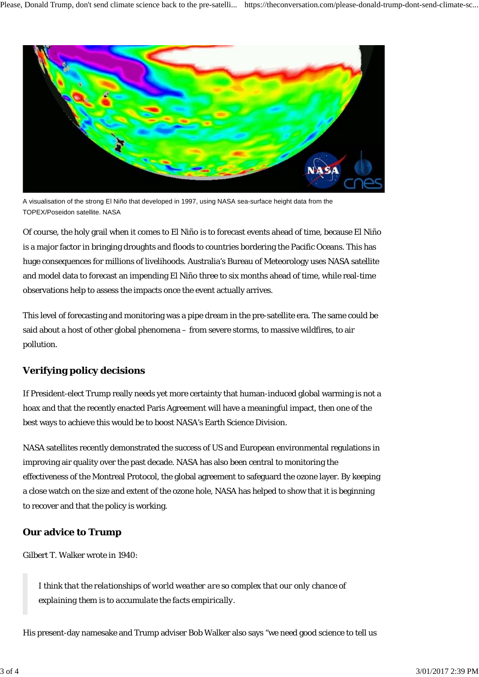

A visualisation of the strong El Niño that developed in 1997, using NASA sea-surface height data from the TOPEX/Poseidon satellite. NASA

Of course, the holy grail when it comes to El Niño is to forecast events ahead of time, because El Niño is a major factor in bringing droughts and floods to countries bordering the Pacific Oceans. This has huge consequences for millions of livelihoods. Australia's Bureau of Meteorology uses NASA satellite and model data to forecast an impending El Niño three to six months ahead of time, while real-time observations help to assess the impacts once the event actually arrives.

This level of forecasting and monitoring was a pipe dream in the pre-satellite era. The same could be said about a host of other global phenomena – from severe storms, to massive wildfires, to air pollution.

## **Verifying policy decisions**

If President-elect Trump really needs yet more certainty that human-induced global warming is not a hoax and that the recently enacted Paris Agreement will have a meaningful impact, then one of the best ways to achieve this would be to boost NASA's Earth Science Division.

NASA satellites recently demonstrated the success of US and European environmental regulations in improving air quality over the past decade. NASA has also been central to monitoring the effectiveness of the Montreal Protocol, the global agreement to safeguard the ozone layer. By keeping a close watch on the size and extent of the ozone hole, NASA has helped to show that it is beginning to recover and that the policy is working.

### **Our advice to Trump**

Gilbert T. Walker wrote in 1940:

*I think that the relationships of world weather are so complex that our only chance of explaining them is to accumulate the facts empirically.*

His present-day namesake and Trump adviser Bob Walker also says "we need good science to tell us